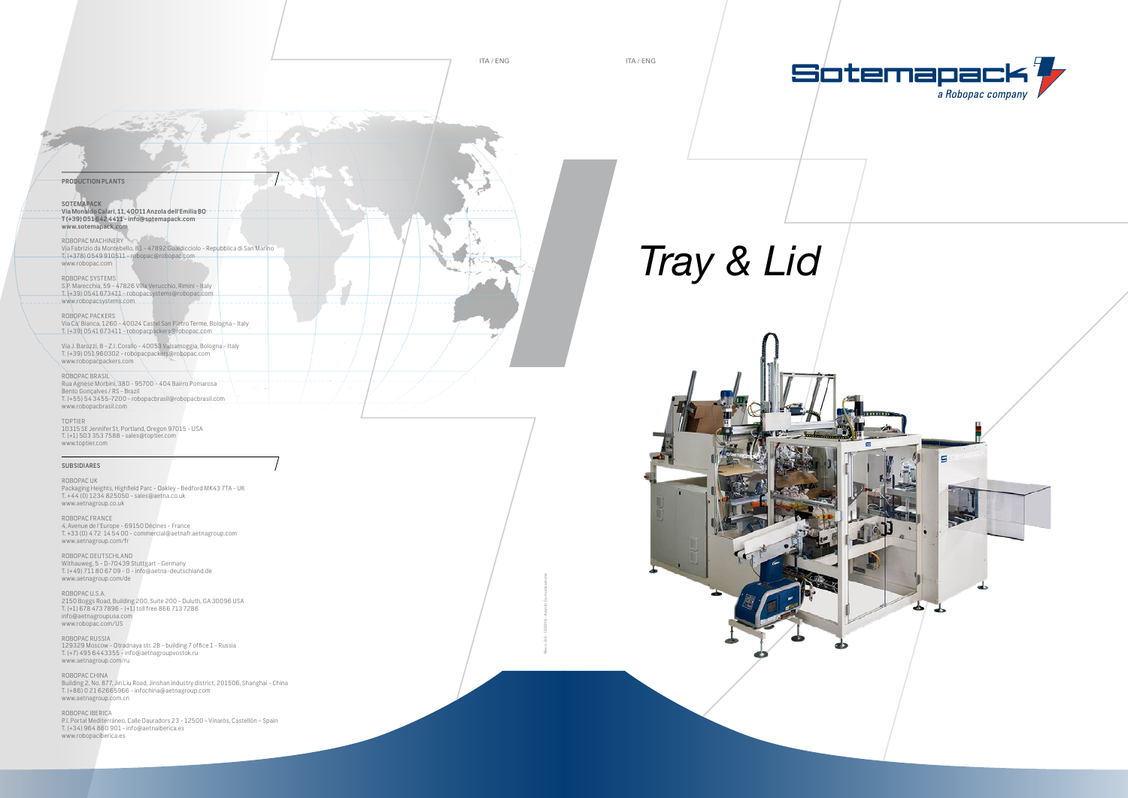### PRODUCTION PLANTS

SOTEMAPACK Via Monaldo Calari, 11, 40011 Anzola dell'Emilia BO T (+39) 051 642 4411 - info@sotemapack.com www.sotemapack.com

### ROBOPAC MACHINERY

Via Fabrizio da Montebello, 81 - 47892 Gualdicciolo - Repubblica di San Marino T. (+378) 0549 910511 - robopac@robopac.com www.robopac.com

#### ROBOPAC SYSTEMS

S.P. Marecchia, 59 - 47826 Villa Verucchio, Rimini - Italy T. (+39) 0541 673411 - robopacsystems@robopac.com www.robopacsystems.com

#### ROBOPAC PACKERS

Via Ca' Bianca, 1260 - 40024 Castel San Pietro Terme, Bologna - Italy T. (+39) 0541 673411 - robopacpackers@robopac.com

Via J. Barozzi, 8 - Z.I. Corallo - 40053 Valsamoggia, Bologna - Italy T. (+39) 051 960302 - robopacpackers@robopac.com www.robopacpackers.com

#### ROBOPAC BRASIL Rua Agnese Morbini, 380 - 95700 - 404 Bairro Pomarosa Bento Gonçalves / RS - Brazil T. (+55) 54 3455-7200 - robopacbrasil@robopacbrasil.com www.robopacbrasil.com

#### TOPTIER

10315 SE Jennifer St, Portland, Oregon 97015 - USA T. (+1) 503 353 7588 - sales@toptier.com www.toptier.com

#### SUBSIDIARES

ROBOPAC UK Packaging Heights, Highfield Parc - Oakley - Bedford MK43 7TA - UK T. +44 (0) 1234 825050 - sales@aetna.co.uk www.aetnagroup.co.uk

ROBOPAC FRANCE 4, Avenue de l'Europe - 69150 Décines - France T. +33 (0) 4 72 14 54 00 - commercial@aetnafr.aetnagroup.com www.aetnagroup.com/fr

ROBOPAC DEUTSCHLAND Withauweg, 5 - D-70439 Stuttgart - Germany T. (+49) 711 80 67 09 - 0 - info@aetna-deutschland.de www.aetnagroup.com/de

ROBOPAC U.S.A. 2150 Boggs Road, Building 200, Suite 200 - Duluth, GA 30096 USA T. (+1) 678 473 7896 - (+1) toll free 866 713 7286 info@aetnagroupusa.com www.robopac.com/US

ROBOPAC RUSSIA 129329 Moscow - Otradnaya str. 2B - building 7 office 1 - Russia T. (+7) 495 6443355 - info@aetnagroupvostok.ru www.aetnagroup.com/ru

ROBOPAC CHINA Building 2, No. 877, Jin Liu Road, Jinshan industry district, 201506, Shanghai - China T. (+86) 0 21 62665966 - infochina@aetnagroup.com www.aetnagroup.com.cn

ROBOPAC IBERICA P.I. Portal Mediterráneo, Calle Dauradors 23 - 12500 - Vinaròs, Castellón – Spain T. (+34) 964 860 901 - info@aetnaiberica.es www.robopaciberica.es

## *Tray & Lid*





ITA / ENG ITA / ENG

Rev n. 00 - 10/2019 - Acanto Comunicazione